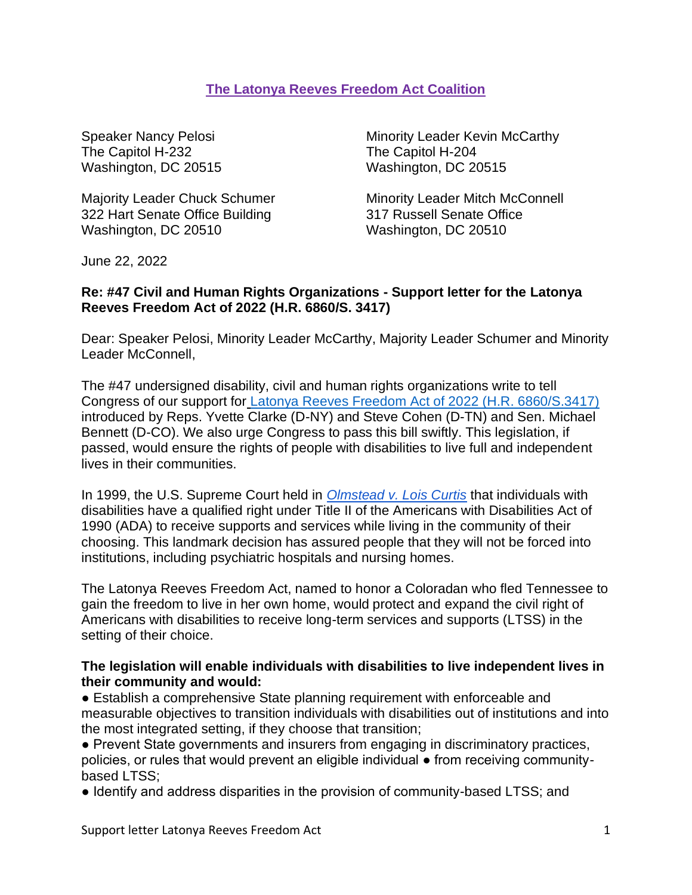## **The Latonya Reeves Freedom Act Coalition**

The Capitol H-232 The Capitol H-204 Washington, DC 20515 Washington, DC 20515

322 Hart Senate Office Building 317 Russell Senate Office Washington, DC 20510 Washington, DC 20510

Speaker Nancy Pelosi **Minority Leader Kevin McCarthy** 

Majority Leader Chuck Schumer Minority Leader Mitch McConnell

June 22, 2022

## **Re: #47 Civil and Human Rights Organizations - Support letter for the Latonya Reeves Freedom Act of 2022 (H.R. 6860/S. 3417)**

Dear: Speaker Pelosi, Minority Leader McCarthy, Majority Leader Schumer and Minority Leader McConnell,

The #47 undersigned disability, civil and human rights organizations write to tell Congress of our support for [Latonya Reeves Freedom Act of 2022 \(H.R. 6860/S.3417\)](https://www.congress.gov/bill/117th-congress/house-bill/6860?q=%7B%22search%22%3A%5B%22hr+6860%22%2C%22hr%22%2C%226860%22%5D%7D&s=1&r=1) introduced by Reps. Yvette Clarke (D-NY) and Steve Cohen (D-TN) and Sen. Michael Bennett (D-CO). We also urge Congress to pass this bill swiftly. This legislation, if passed, would ensure the rights of people with disabilities to live full and independent lives in their communities.

In 1999, the U.S. Supreme Court held in *[Olmstead v. Lois Curtis](https://www.ada.gov/olmstead/olmstead_about.htm)* that individuals with disabilities have a qualified right under Title II of the Americans with Disabilities Act of 1990 (ADA) to receive supports and services while living in the community of their choosing. This landmark decision has assured people that they will not be forced into institutions, including psychiatric hospitals and nursing homes.

The Latonya Reeves Freedom Act, named to honor a Coloradan who fled Tennessee to gain the freedom to live in her own home, would protect and expand the civil right of Americans with disabilities to receive long-term services and supports (LTSS) in the setting of their choice.

## **The legislation will enable individuals with disabilities to live independent lives in their community and would:**

● Establish a comprehensive State planning requirement with enforceable and measurable objectives to transition individuals with disabilities out of institutions and into the most integrated setting, if they choose that transition;

● Prevent State governments and insurers from engaging in discriminatory practices, policies, or rules that would prevent an eligible individual ● from receiving communitybased LTSS;

● Identify and address disparities in the provision of community-based LTSS; and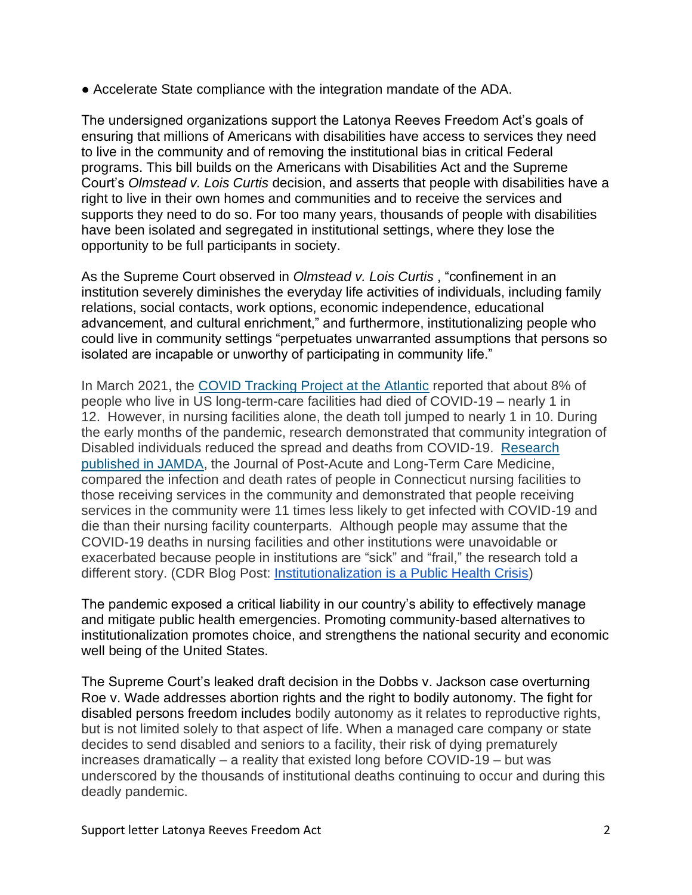● Accelerate State compliance with the integration mandate of the ADA.

The undersigned organizations support the Latonya Reeves Freedom Act's goals of ensuring that millions of Americans with disabilities have access to services they need to live in the community and of removing the institutional bias in critical Federal programs. This bill builds on the Americans with Disabilities Act and the Supreme Court's *Olmstead v. Lois Curtis* decision, and asserts that people with disabilities have a right to live in their own homes and communities and to receive the services and supports they need to do so. For too many years, thousands of people with disabilities have been isolated and segregated in institutional settings, where they lose the opportunity to be full participants in society.

As the Supreme Court observed in *Olmstead v. Lois Curtis* , "confinement in an institution severely diminishes the everyday life activities of individuals, including family relations, social contacts, work options, economic independence, educational advancement, and cultural enrichment," and furthermore, institutionalizing people who could live in community settings "perpetuates unwarranted assumptions that persons so isolated are incapable or unworthy of participating in community life."

In March 2021, the [COVID Tracking Project at the Atlantic](https://covidtracking.com/nursing-homes-long-term-care-facilities?utm_source=emailcampaign299&utm_medium=phpList&utm_content=HTMLemail&utm_campaign=Institutionalization+is+a+Public+Health+Crisis) reported that about 8% of people who live in US long-term-care facilities had died of COVID-19 – nearly 1 in 12. However, in nursing facilities alone, the death toll jumped to nearly 1 in 10. During the early months of the pandemic, research demonstrated that community integration of Disabled individuals reduced the spread and deaths from COVID-19. [Research](https://www.jamda.com/article/S1525-8610(20)31050-1/pdf?utm_source=emailcampaign299&utm_medium=phpList&utm_content=HTMLemail&utm_campaign=Institutionalization+is+a+Public+Health+Crisis)  [published in JAMDA,](https://www.jamda.com/article/S1525-8610(20)31050-1/pdf?utm_source=emailcampaign299&utm_medium=phpList&utm_content=HTMLemail&utm_campaign=Institutionalization+is+a+Public+Health+Crisis) the Journal of Post-Acute and Long-Term Care Medicine, compared the infection and death rates of people in Connecticut nursing facilities to those receiving services in the community and demonstrated that people receiving services in the community were 11 times less likely to get infected with COVID-19 and die than their nursing facility counterparts. Although people may assume that the COVID-19 deaths in nursing facilities and other institutions were unavoidable or exacerbated because people in institutions are "sick" and "frail," the research told a different story. (CDR Blog Post: [Institutionalization is a Public Health Crisis\)](https://cdrnys.org/blog/advocacy/institutionalization-is-a-public-health-crisis/)

The pandemic exposed a critical liability in our country's ability to effectively manage and mitigate public health emergencies. Promoting community-based alternatives to institutionalization promotes choice, and strengthens the national security and economic well being of the United States.

The Supreme Court's leaked draft decision in the Dobbs v. Jackson case overturning Roe v. Wade addresses abortion rights and the right to bodily autonomy. The fight for disabled persons freedom includes bodily autonomy as it relates to reproductive rights, but is not limited solely to that aspect of life. When a managed care company or state decides to send disabled and seniors to a facility, their risk of dying prematurely increases dramatically – a reality that existed long before COVID-19 – but was underscored by the thousands of institutional deaths continuing to occur and during this deadly pandemic.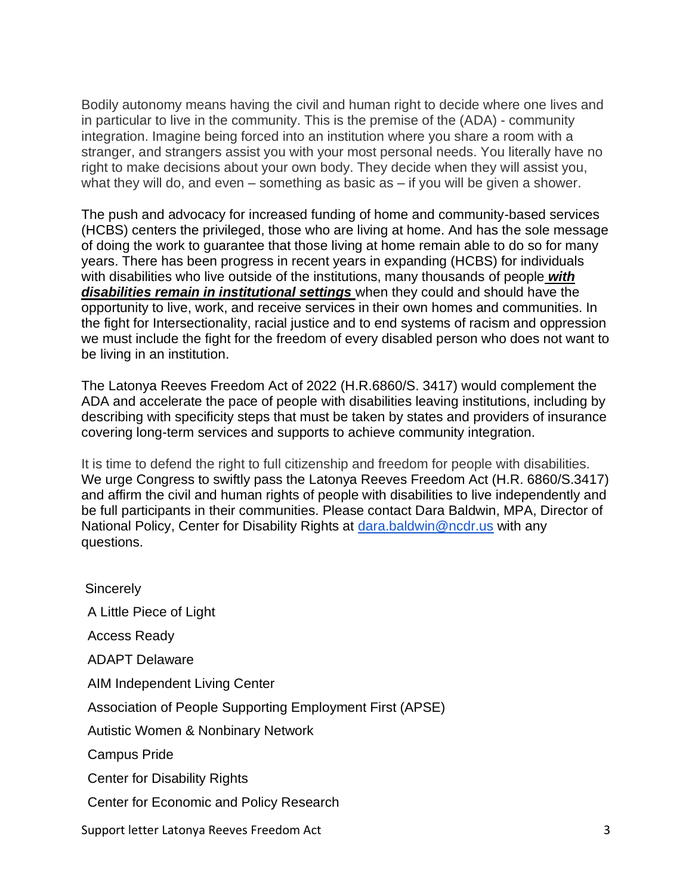Bodily autonomy means having the civil and human right to decide where one lives and in particular to live in the community. This is the premise of the (ADA) - community integration. Imagine being forced into an institution where you share a room with a stranger, and strangers assist you with your most personal needs. You literally have no right to make decisions about your own body. They decide when they will assist you, what they will do, and even – something as basic as – if you will be given a shower.

The push and advocacy for increased funding of home and community-based services (HCBS) centers the privileged, those who are living at home. And has the sole message of doing the work to guarantee that those living at home remain able to do so for many years. There has been progress in recent years in expanding (HCBS) for individuals with disabilities who live outside of the institutions, many thousands of people *with disabilities remain in institutional settings* when they could and should have the opportunity to live, work, and receive services in their own homes and communities. In the fight for Intersectionality, racial justice and to end systems of racism and oppression we must include the fight for the freedom of every disabled person who does not want to be living in an institution.

The Latonya Reeves Freedom Act of 2022 (H.R.6860/S. 3417) would complement the ADA and accelerate the pace of people with disabilities leaving institutions, including by describing with specificity steps that must be taken by states and providers of insurance covering long-term services and supports to achieve community integration.

It is time to defend the right to full citizenship and freedom for people with disabilities. We urge Congress to swiftly pass the Latonya Reeves Freedom Act (H.R. 6860/S.3417) and affirm the civil and human rights of people with disabilities to live independently and be full participants in their communities. Please contact Dara Baldwin, MPA, Director of National Policy, Center for Disability Rights at [dara.baldwin@ncdr.us](mailto:dara.baldwin@ncdr.us) with any questions.

Support letter Latonya Reeves Freedom Act 3 **Sincerely** A Little Piece of Light Access Ready ADAPT Delaware AIM Independent Living Center Association of People Supporting Employment First (APSE) Autistic Women & Nonbinary Network Campus Pride Center for Disability Rights Center for Economic and Policy Research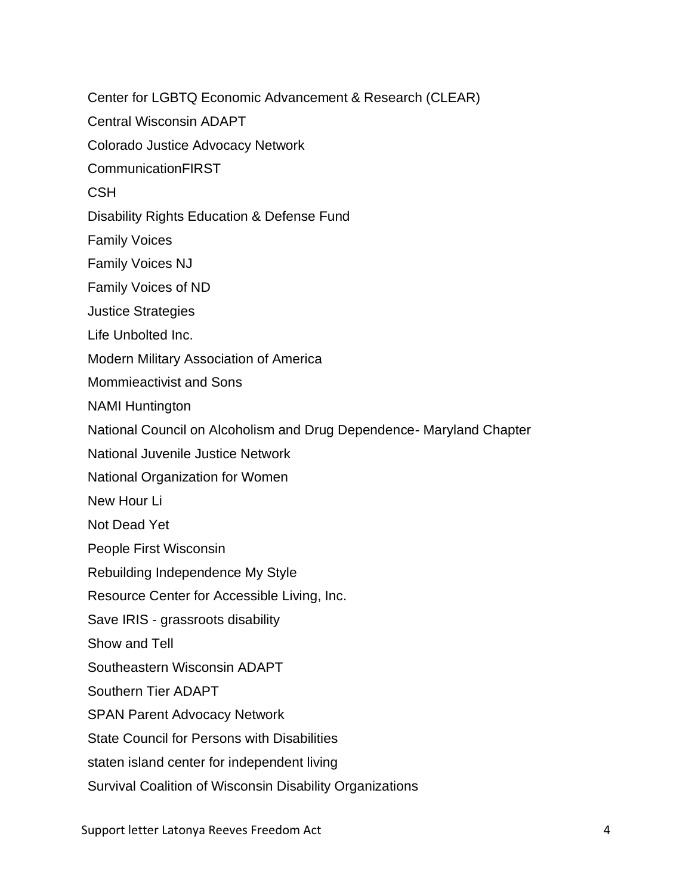Center for LGBTQ Economic Advancement & Research (CLEAR) Central Wisconsin ADAPT Colorado Justice Advocacy Network CommunicationFIRST **CSH** Disability Rights Education & Defense Fund Family Voices Family Voices NJ Family Voices of ND Justice Strategies Life Unbolted Inc. Modern Military Association of America Mommieactivist and Sons NAMI Huntington National Council on Alcoholism and Drug Dependence- Maryland Chapter National Juvenile Justice Network National Organization for Women New Hour Li Not Dead Yet People First Wisconsin Rebuilding Independence My Style Resource Center for Accessible Living, Inc. Save IRIS - grassroots disability Show and Tell Southeastern Wisconsin ADAPT Southern Tier ADAPT SPAN Parent Advocacy Network State Council for Persons with Disabilities staten island center for independent living Survival Coalition of Wisconsin Disability Organizations